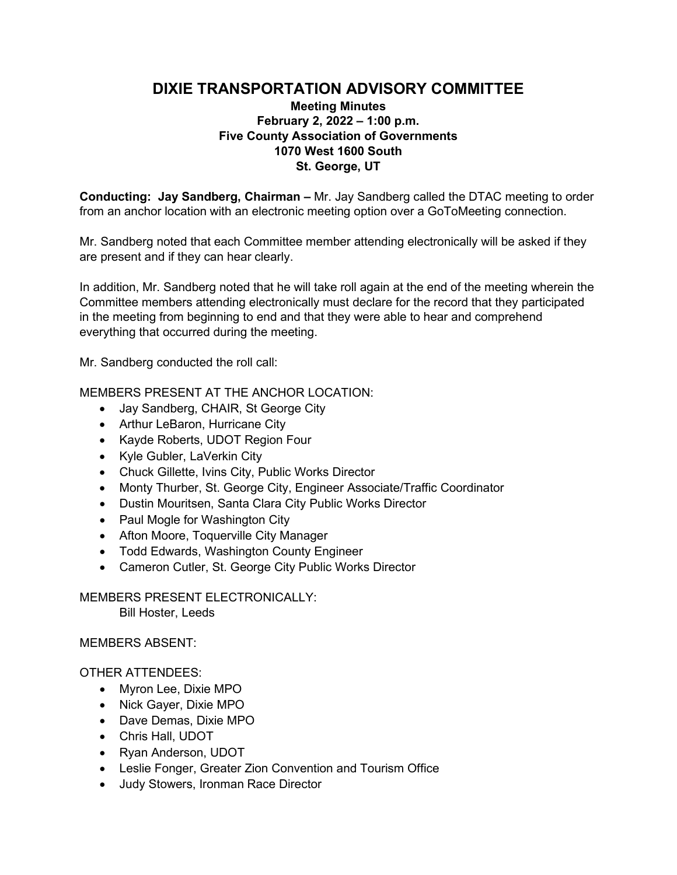# **DIXIE TRANSPORTATION ADVISORY COMMITTEE**

# **Meeting Minutes February 2, 2022 – 1:00 p.m. Five County Association of Governments 1070 West 1600 South St. George, UT**

**Conducting: Jay Sandberg, Chairman –** Mr. Jay Sandberg called the DTAC meeting to order from an anchor location with an electronic meeting option over a GoToMeeting connection.

Mr. Sandberg noted that each Committee member attending electronically will be asked if they are present and if they can hear clearly.

In addition, Mr. Sandberg noted that he will take roll again at the end of the meeting wherein the Committee members attending electronically must declare for the record that they participated in the meeting from beginning to end and that they were able to hear and comprehend everything that occurred during the meeting.

Mr. Sandberg conducted the roll call:

MEMBERS PRESENT AT THE ANCHOR LOCATION:

- Jay Sandberg, CHAIR, St George City
- Arthur LeBaron, Hurricane City
- Kayde Roberts, UDOT Region Four
- Kyle Gubler, LaVerkin City
- Chuck Gillette, Ivins City, Public Works Director
- Monty Thurber, St. George City, Engineer Associate/Traffic Coordinator
- Dustin Mouritsen, Santa Clara City Public Works Director
- Paul Mogle for Washington City
- Afton Moore, Toquerville City Manager
- Todd Edwards, Washington County Engineer
- Cameron Cutler, St. George City Public Works Director

MEMBERS PRESENT ELECTRONICALLY: Bill Hoster, Leeds

### MEMBERS ABSENT:

### OTHER ATTENDEES:

- Myron Lee, Dixie MPO
- Nick Gayer, Dixie MPO
- Dave Demas, Dixie MPO
- Chris Hall, UDOT
- Ryan Anderson, UDOT
- Leslie Fonger, Greater Zion Convention and Tourism Office
- Judy Stowers, Ironman Race Director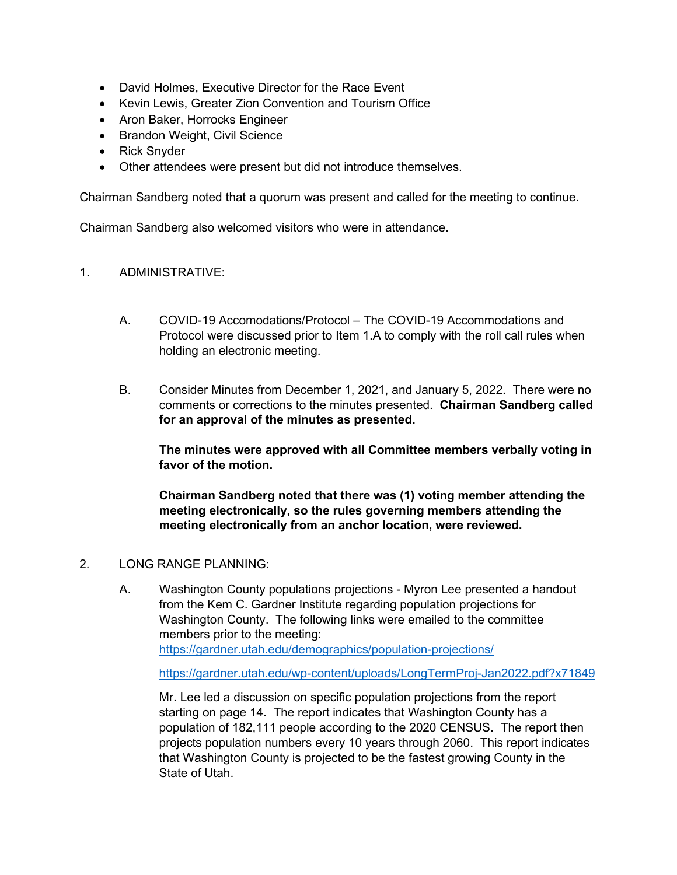- David Holmes, Executive Director for the Race Event
- Kevin Lewis, Greater Zion Convention and Tourism Office
- Aron Baker, Horrocks Engineer
- Brandon Weight, Civil Science
- Rick Snyder
- Other attendees were present but did not introduce themselves.

Chairman Sandberg noted that a quorum was present and called for the meeting to continue.

Chairman Sandberg also welcomed visitors who were in attendance.

#### 1. ADMINISTRATIVE:

- A. COVID-19 Accomodations/Protocol The COVID-19 Accommodations and Protocol were discussed prior to Item 1.A to comply with the roll call rules when holding an electronic meeting.
- B. Consider Minutes from December 1, 2021, and January 5, 2022. There were no comments or corrections to the minutes presented. **Chairman Sandberg called for an approval of the minutes as presented.**

**The minutes were approved with all Committee members verbally voting in favor of the motion.**

**Chairman Sandberg noted that there was (1) voting member attending the meeting electronically, so the rules governing members attending the meeting electronically from an anchor location, were reviewed.** 

#### 2. LONG RANGE PLANNING:

A. Washington County populations projections - Myron Lee presented a handout from the Kem C. Gardner Institute regarding population projections for Washington County. The following links were emailed to the committee members prior to the meeting: <https://gardner.utah.edu/demographics/population-projections/>

<https://gardner.utah.edu/wp-content/uploads/LongTermProj-Jan2022.pdf?x71849>

Mr. Lee led a discussion on specific population projections from the report starting on page 14. The report indicates that Washington County has a population of 182,111 people according to the 2020 CENSUS. The report then projects population numbers every 10 years through 2060. This report indicates that Washington County is projected to be the fastest growing County in the State of Utah.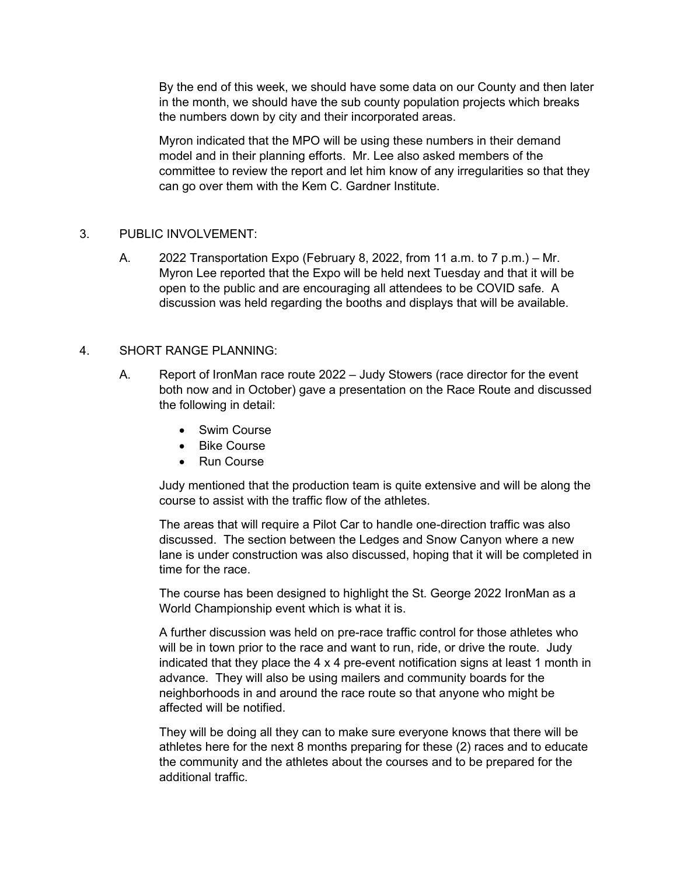By the end of this week, we should have some data on our County and then later in the month, we should have the sub county population projects which breaks the numbers down by city and their incorporated areas.

Myron indicated that the MPO will be using these numbers in their demand model and in their planning efforts. Mr. Lee also asked members of the committee to review the report and let him know of any irregularities so that they can go over them with the Kem C. Gardner Institute.

### 3. PUBLIC INVOLVEMENT:

A. 2022 Transportation Expo (February 8, 2022, from 11 a.m. to 7 p.m.) – Mr. Myron Lee reported that the Expo will be held next Tuesday and that it will be open to the public and are encouraging all attendees to be COVID safe. A discussion was held regarding the booths and displays that will be available.

#### 4. SHORT RANGE PLANNING:

- A. Report of IronMan race route 2022 Judy Stowers (race director for the event both now and in October) gave a presentation on the Race Route and discussed the following in detail:
	- Swim Course
	- **Bike Course**
	- Run Course

Judy mentioned that the production team is quite extensive and will be along the course to assist with the traffic flow of the athletes.

The areas that will require a Pilot Car to handle one-direction traffic was also discussed. The section between the Ledges and Snow Canyon where a new lane is under construction was also discussed, hoping that it will be completed in time for the race.

The course has been designed to highlight the St. George 2022 IronMan as a World Championship event which is what it is.

A further discussion was held on pre-race traffic control for those athletes who will be in town prior to the race and want to run, ride, or drive the route. Judy indicated that they place the  $4 \times 4$  pre-event notification signs at least 1 month in advance. They will also be using mailers and community boards for the neighborhoods in and around the race route so that anyone who might be affected will be notified.

They will be doing all they can to make sure everyone knows that there will be athletes here for the next 8 months preparing for these (2) races and to educate the community and the athletes about the courses and to be prepared for the additional traffic.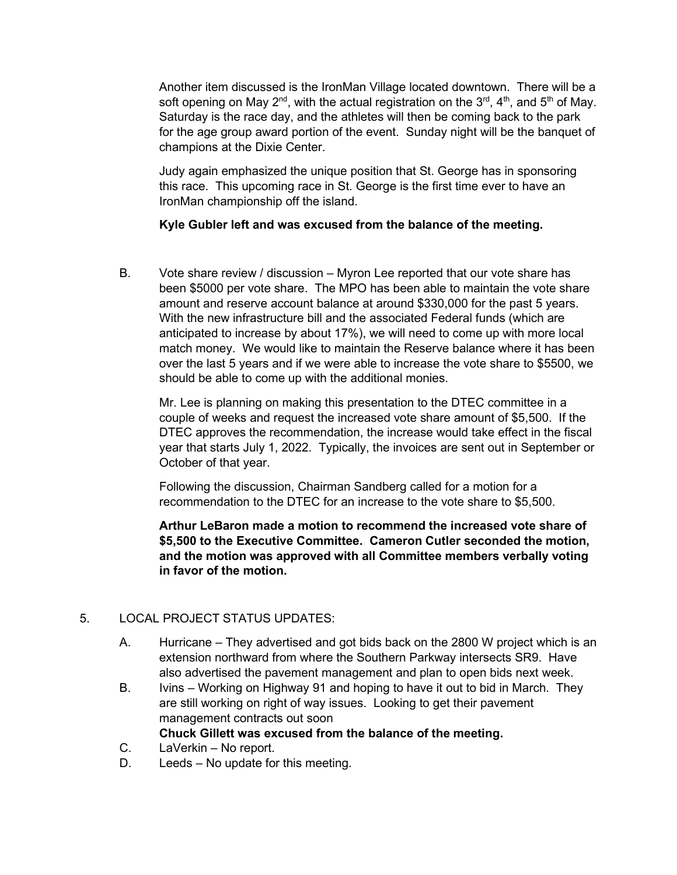Another item discussed is the IronMan Village located downtown. There will be a soft opening on May 2<sup>nd</sup>, with the actual registration on the 3<sup>rd</sup>, 4<sup>th</sup>, and 5<sup>th</sup> of May. Saturday is the race day, and the athletes will then be coming back to the park for the age group award portion of the event. Sunday night will be the banquet of champions at the Dixie Center.

Judy again emphasized the unique position that St. George has in sponsoring this race. This upcoming race in St. George is the first time ever to have an IronMan championship off the island.

### **Kyle Gubler left and was excused from the balance of the meeting.**

B. Vote share review / discussion – Myron Lee reported that our vote share has been \$5000 per vote share. The MPO has been able to maintain the vote share amount and reserve account balance at around \$330,000 for the past 5 years. With the new infrastructure bill and the associated Federal funds (which are anticipated to increase by about 17%), we will need to come up with more local match money. We would like to maintain the Reserve balance where it has been over the last 5 years and if we were able to increase the vote share to \$5500, we should be able to come up with the additional monies.

Mr. Lee is planning on making this presentation to the DTEC committee in a couple of weeks and request the increased vote share amount of \$5,500. If the DTEC approves the recommendation, the increase would take effect in the fiscal year that starts July 1, 2022. Typically, the invoices are sent out in September or October of that year.

Following the discussion, Chairman Sandberg called for a motion for a recommendation to the DTEC for an increase to the vote share to \$5,500.

**Arthur LeBaron made a motion to recommend the increased vote share of \$5,500 to the Executive Committee. Cameron Cutler seconded the motion, and the motion was approved with all Committee members verbally voting in favor of the motion.**

# 5. LOCAL PROJECT STATUS UPDATES:

- A. Hurricane They advertised and got bids back on the 2800 W project which is an extension northward from where the Southern Parkway intersects SR9. Have also advertised the pavement management and plan to open bids next week.
- B. Ivins Working on Highway 91 and hoping to have it out to bid in March. They are still working on right of way issues. Looking to get their pavement management contracts out soon **Chuck Gillett was excused from the balance of the meeting.**
- C. LaVerkin No report.
- D. Leeds No update for this meeting.